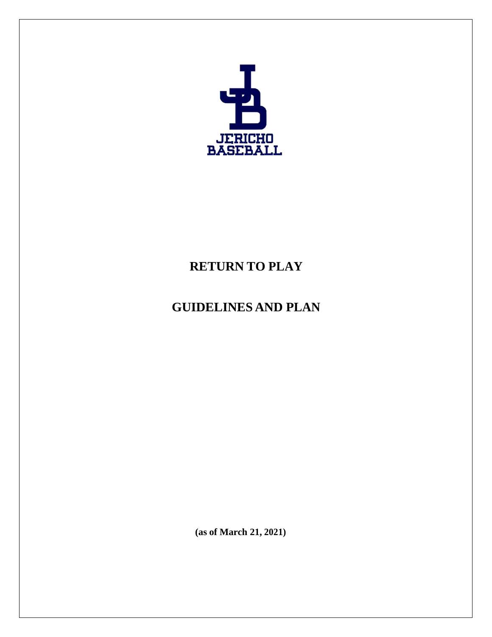

# **RETURN TO PLAY**

# **GUIDELINES AND PLAN**

**(as of March 21, 2021)**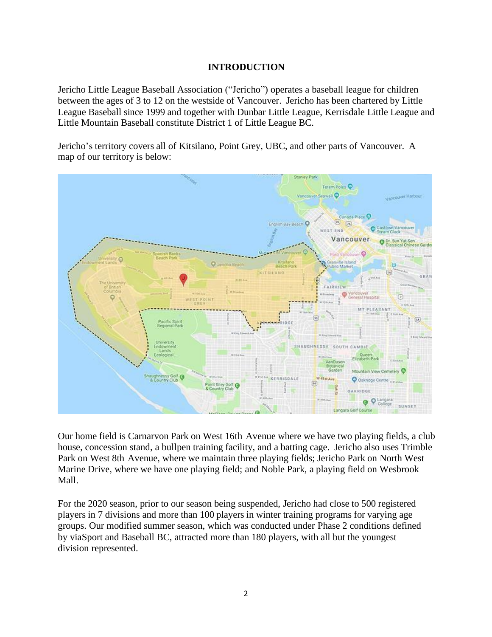# **INTRODUCTION**

Jericho Little League Baseball Association ("Jericho") operates a baseball league for children between the ages of 3 to 12 on the westside of Vancouver. Jericho has been chartered by Little League Baseball since 1999 and together with Dunbar Little League, Kerrisdale Little League and Little Mountain Baseball constitute District 1 of Little League BC.

Jericho's territory covers all of Kitsilano, Point Grey, UBC, and other parts of Vancouver. A map of our territory is below:



Our home field is Carnarvon Park on West 16th Avenue where we have two playing fields, a club house, concession stand, a bullpen training facility, and a batting cage. Jericho also uses Trimble Park on West 8th Avenue, where we maintain three playing fields; Jericho Park on North West Marine Drive, where we have one playing field; and Noble Park, a playing field on Wesbrook Mall.

For the 2020 season, prior to our season being suspended, Jericho had close to 500 registered players in 7 divisions and more than 100 players in winter training programs for varying age groups. Our modified summer season, which was conducted under Phase 2 conditions defined by viaSport and Baseball BC, attracted more than 180 players, with all but the youngest division represented.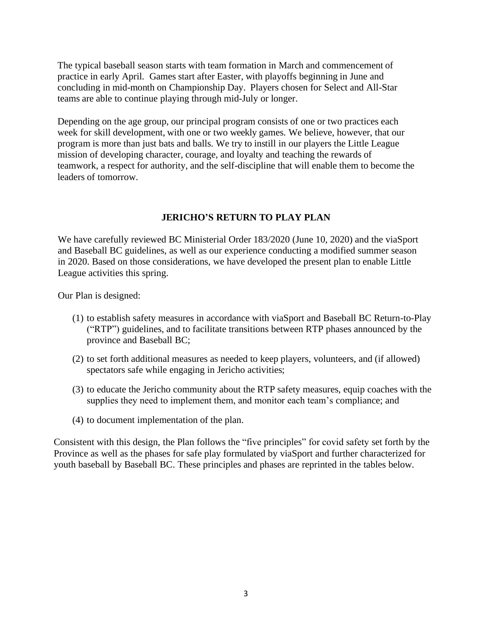The typical baseball season starts with team formation in March and commencement of practice in early April. Games start after Easter, with playoffs beginning in June and concluding in mid-month on Championship Day. Players chosen for Select and All-Star teams are able to continue playing through mid-July or longer.

Depending on the age group, our principal program consists of one or two practices each week for skill development, with one or two weekly games. We believe, however, that our program is more than just bats and balls. We try to instill in our players the Little League mission of developing character, courage, and loyalty and teaching the rewards of teamwork, a respect for authority, and the self-discipline that will enable them to become the leaders of tomorrow.

#### **JERICHO'S RETURN TO PLAY PLAN**

We have carefully reviewed BC Ministerial Order 183/2020 (June 10, 2020) and the viaSport and Baseball BC guidelines, as well as our experience conducting a modified summer season in 2020. Based on those considerations, we have developed the present plan to enable Little League activities this spring.

Our Plan is designed:

- (1) to establish safety measures in accordance with viaSport and Baseball BC Return-to-Play ("RTP") guidelines, and to facilitate transitions between RTP phases announced by the province and Baseball BC;
- (2) to set forth additional measures as needed to keep players, volunteers, and (if allowed) spectators safe while engaging in Jericho activities;
- (3) to educate the Jericho community about the RTP safety measures, equip coaches with the supplies they need to implement them, and monitor each team's compliance; and
- (4) to document implementation of the plan.

Consistent with this design, the Plan follows the "five principles" for covid safety set forth by the Province as well as the phases for safe play formulated by viaSport and further characterized for youth baseball by Baseball BC. These principles and phases are reprinted in the tables below.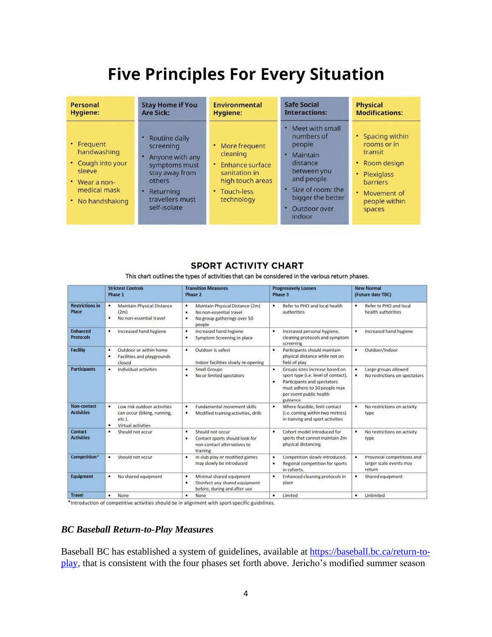# **Five Principles For Every Situation**

| Personal                                                                                                            | <b>Stay Home if You</b>                                                                                                                                        | Environmental                                                                                                             | Safe Social                                                                                                                                                             | <b>Physical</b>                                                                                                                            |
|---------------------------------------------------------------------------------------------------------------------|----------------------------------------------------------------------------------------------------------------------------------------------------------------|---------------------------------------------------------------------------------------------------------------------------|-------------------------------------------------------------------------------------------------------------------------------------------------------------------------|--------------------------------------------------------------------------------------------------------------------------------------------|
| Hygiene:                                                                                                            | <b>Are Sick:</b>                                                                                                                                               | Hygiene:                                                                                                                  | <b>Interactions:</b>                                                                                                                                                    | <b>Modifications:</b>                                                                                                                      |
| • Frequent<br>handwashing<br>• Cough into your<br>sleeve<br>$\cdot$ Wear a non-<br>medical mask<br>• No handshaking | • Routine daily<br>screening<br>Anyone with any<br>۰<br>symptoms must<br>stay away from<br>others<br>Returning<br>$\bullet$<br>travellers must<br>self-isolate | More frequent<br>۰<br>cleaning<br>Enhance surface<br>٠<br>sanitation in<br>high touch areas<br>• Touch-less<br>technology | Meet with small<br>numbers of<br>people<br>Maintain<br>×<br>distance<br>between you<br>and people<br>• Size of room: the<br>bigger the better<br>Outdoor over<br>indoor | • Spacing within<br>rooms or in<br>transit<br>• Room design<br>• Plexiglass<br><b>barriers</b><br>• Movement of<br>people within<br>spaces |

# **SPORT ACTIVITY CHART**

This chart outlines the types of activities that can be considered in the various return phases.

|                                     | <b>Strictest Controls</b><br>Phase 1                                                                         | <b>Transition Measures</b><br>Phase 2                                                                              | <b>Progressively Loosen</b><br>Phase 3                                                                                                                                                | <b>New Normal</b><br>(Future date TBC)                                |
|-------------------------------------|--------------------------------------------------------------------------------------------------------------|--------------------------------------------------------------------------------------------------------------------|---------------------------------------------------------------------------------------------------------------------------------------------------------------------------------------|-----------------------------------------------------------------------|
| <b>Restrictions in</b><br>Place     | Maintain Physical Distance<br>٠<br>(2m)<br>No non-essential travel                                           | Maintain Physical Distance (2m)<br>٠<br>No non-essential travel<br>٠<br>No group gatherings over 50<br>٠<br>people | Refer to PHO and local health<br>٠<br>authorities                                                                                                                                     | Refer to PHO and local<br>٠<br>health authorities                     |
| <b>Enhanced</b><br><b>Protocols</b> | Increased hand hygiene<br>٠                                                                                  | Increased hand hygiene<br>٠<br>Symptom Screening in place<br>٠                                                     | Increased personal hygiene,<br>٠<br>cleaning protocols and symptom<br>screening                                                                                                       | Increased hand hygiene<br>٠                                           |
| <b>Facility</b>                     | Outdoor or within home<br>٠<br>Facilities and playgrounds<br>٠<br>closed                                     | Outdoor is safest<br>٠<br>Indoor facilities slowly re-opening                                                      | Participants should maintain<br>٠<br>physical distance while not on<br>field of play                                                                                                  | Outdoor/Indoor<br>٠                                                   |
| <b>Participants</b>                 | Individual activities<br>٠                                                                                   | Small Groups<br>٠<br>No or limited spectators<br>٠                                                                 | Groups sizes increase based on<br>٠<br>sport type (i.e. level of contact).<br>Participants and spectators<br>٠<br>must adhere to 50 people max<br>per event public health<br>guidance | Large groups allowed<br>۰<br>No restrictions on spectators<br>۰       |
| Non-contact<br><b>Activities</b>    | Low risk outdoor activities<br>۰<br>can occur (biking, running,<br>etc.).<br>$\bullet$<br>Virtual activities | Fundamental movement skills<br>٠<br>Modified training activities, drills<br>٠                                      | Where feasible, limit contact<br>$\bullet$<br>(i.e. coming within two metres)<br>in training and sport activities                                                                     | No restrictions on activity<br>٠<br>type                              |
| <b>Contact</b><br><b>Activities</b> | Should not occur<br>٠                                                                                        | Should not occur<br>٠<br>Contact sports should look for<br>٠<br>non-contact alternatives to<br>training            | Cohort model introduced for<br>٠<br>sports that cannot maintain 2m<br>physical distancing.                                                                                            | No restrictions on activity<br>٠<br>type                              |
| Competition*                        | Should not occur                                                                                             | In club play or modified games<br>٠<br>may slowly be introduced                                                    | Competition slowly introduced.<br>٠<br>Regional competition for sports<br>٠<br>in cohorts.                                                                                            | Provincial competitions and<br>۰<br>larger scale events may<br>return |
| <b>Equipment</b>                    | No shared equipment<br>٠                                                                                     | Minimal shared equipment<br>٠<br>Disinfect any shared equipment<br>٠<br>before, during and after use               | Enhanced cleaning protocols in<br>٠<br>place                                                                                                                                          | Shared equipment<br>٠                                                 |
| <b>Travel</b>                       | None                                                                                                         | None<br>٠                                                                                                          | Limited<br>٠                                                                                                                                                                          | Unlimited<br>٠                                                        |

\*Introduction of competitive activities should be in alignment with sport-specific guidelines.

#### *BC Baseball Return-to-Play Measures*

Baseball BC has established a system of guidelines, available at [https://baseball.bc.ca/return-to](https://baseball.bc.ca/return-to-play)[play,](https://baseball.bc.ca/return-to-play) that is consistent with the four phases set forth above. Jericho's modified summer season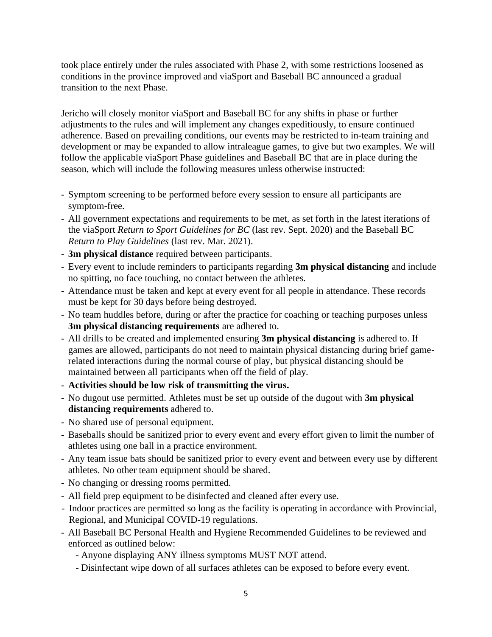took place entirely under the rules associated with Phase 2, with some restrictions loosened as conditions in the province improved and viaSport and Baseball BC announced a gradual transition to the next Phase.

Jericho will closely monitor viaSport and Baseball BC for any shifts in phase or further adjustments to the rules and will implement any changes expeditiously, to ensure continued adherence. Based on prevailing conditions, our events may be restricted to in-team training and development or may be expanded to allow intraleague games, to give but two examples. We will follow the applicable viaSport Phase guidelines and Baseball BC that are in place during the season, which will include the following measures unless otherwise instructed:

- Symptom screening to be performed before every session to ensure all participants are symptom-free.
- All government expectations and requirements to be met, as set forth in the latest iterations of the viaSport *Return to Sport Guidelines for BC* (last rev. Sept. 2020) and the Baseball BC *Return to Play Guidelines* (last rev. Mar. 2021).
- **3m physical distance** required between participants.
- Every event to include reminders to participants regarding **3m physical distancing** and include no spitting, no face touching, no contact between the athletes.
- Attendance must be taken and kept at every event for all people in attendance. These records must be kept for 30 days before being destroyed.
- No team huddles before, during or after the practice for coaching or teaching purposes unless **3m physical distancing requirements** are adhered to.
- All drills to be created and implemented ensuring **3m physical distancing** is adhered to. If games are allowed, participants do not need to maintain physical distancing during brief gamerelated interactions during the normal course of play, but physical distancing should be maintained between all participants when off the field of play.
- **Activities should be low risk of transmitting the virus.**
- No dugout use permitted. Athletes must be set up outside of the dugout with **3m physical distancing requirements** adhered to.
- No shared use of personal equipment.
- Baseballs should be sanitized prior to every event and every effort given to limit the number of athletes using one ball in a practice environment.
- Any team issue bats should be sanitized prior to every event and between every use by different athletes. No other team equipment should be shared.
- No changing or dressing rooms permitted.
- All field prep equipment to be disinfected and cleaned after every use.
- Indoor practices are permitted so long as the facility is operating in accordance with Provincial, Regional, and Municipal COVID-19 regulations.
- All Baseball BC Personal Health and Hygiene Recommended Guidelines to be reviewed and enforced as outlined below:
	- Anyone displaying ANY illness symptoms MUST NOT attend.
	- Disinfectant wipe down of all surfaces athletes can be exposed to before every event.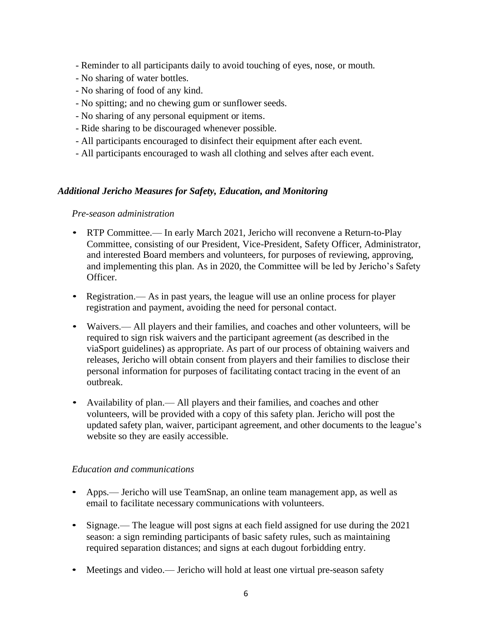- Reminder to all participants daily to avoid touching of eyes, nose, or mouth.
- No sharing of water bottles.
- No sharing of food of any kind.
- No spitting; and no chewing gum or sunflower seeds.
- No sharing of any personal equipment or items.
- Ride sharing to be discouraged whenever possible.
- All participants encouraged to disinfect their equipment after each event.
- All participants encouraged to wash all clothing and selves after each event.

#### *Additional Jericho Measures for Safety, Education, and Monitoring*

#### *Pre-season administration*

- RTP Committee.— In early March 2021, Jericho will reconvene a Return-to-Play Committee, consisting of our President, Vice-President, Safety Officer, Administrator, and interested Board members and volunteers, for purposes of reviewing, approving, and implementing this plan. As in 2020, the Committee will be led by Jericho's Safety Officer.
- Registration.— As in past years, the league will use an online process for player registration and payment, avoiding the need for personal contact.
- Waivers.— All players and their families, and coaches and other volunteers, will be required to sign risk waivers and the participant agreement (as described in the viaSport guidelines) as appropriate. As part of our process of obtaining waivers and releases, Jericho will obtain consent from players and their families to disclose their personal information for purposes of facilitating contact tracing in the event of an outbreak.
- Availability of plan.— All players and their families, and coaches and other volunteers, will be provided with a copy of this safety plan. Jericho will post the updated safety plan, waiver, participant agreement, and other documents to the league's website so they are easily accessible.

#### *Education and communications*

- Apps.— Jericho will use TeamSnap, an online team management app, as well as email to facilitate necessary communications with volunteers.
- Signage.— The league will post signs at each field assigned for use during the 2021 season: a sign reminding participants of basic safety rules, such as maintaining required separation distances; and signs at each dugout forbidding entry.
- Meetings and video.— Jericho will hold at least one virtual pre-season safety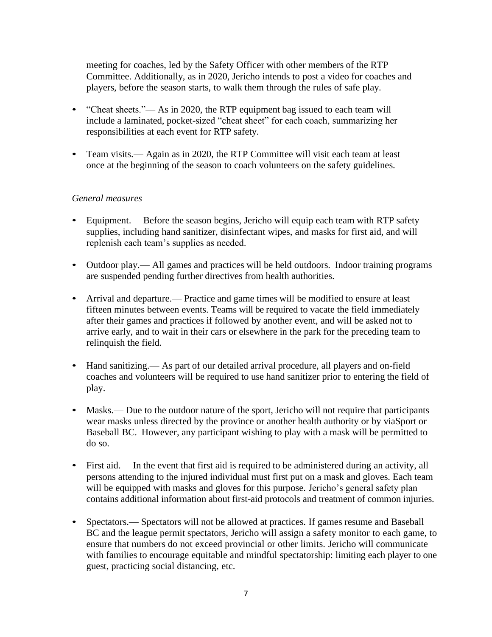meeting for coaches, led by the Safety Officer with other members of the RTP Committee. Additionally, as in 2020, Jericho intends to post a video for coaches and players, before the season starts, to walk them through the rules of safe play.

- "Cheat sheets."— As in 2020, the RTP equipment bag issued to each team will include a laminated, pocket-sized "cheat sheet" for each coach, summarizing her responsibilities at each event for RTP safety.
- Team visits.— Again as in 2020, the RTP Committee will visit each team at least once at the beginning of the season to coach volunteers on the safety guidelines.

# *General measures*

- Equipment.— Before the season begins, Jericho will equip each team with RTP safety supplies, including hand sanitizer, disinfectant wipes, and masks for first aid, and will replenish each team's supplies as needed.
- Outdoor play.— All games and practices will be held outdoors. Indoor training programs are suspended pending further directives from health authorities.
- Arrival and departure.— Practice and game times will be modified to ensure at least fifteen minutes between events. Teams will be required to vacate the field immediately after their games and practices if followed by another event, and will be asked not to arrive early, and to wait in their cars or elsewhere in the park for the preceding team to relinquish the field.
- Hand sanitizing.— As part of our detailed arrival procedure, all players and on-field coaches and volunteers will be required to use hand sanitizer prior to entering the field of play.
- Masks.— Due to the outdoor nature of the sport, Jericho will not require that participants wear masks unless directed by the province or another health authority or by viaSport or Baseball BC. However, any participant wishing to play with a mask will be permitted to do so.
- First aid.— In the event that first aid is required to be administered during an activity, all persons attending to the injured individual must first put on a mask and gloves. Each team will be equipped with masks and gloves for this purpose. Jericho's general safety plan contains additional information about first-aid protocols and treatment of common injuries.
- Spectators.— Spectators will not be allowed at practices. If games resume and Baseball BC and the league permit spectators, Jericho will assign a safety monitor to each game, to ensure that numbers do not exceed provincial or other limits. Jericho will communicate with families to encourage equitable and mindful spectatorship: limiting each player to one guest, practicing social distancing, etc.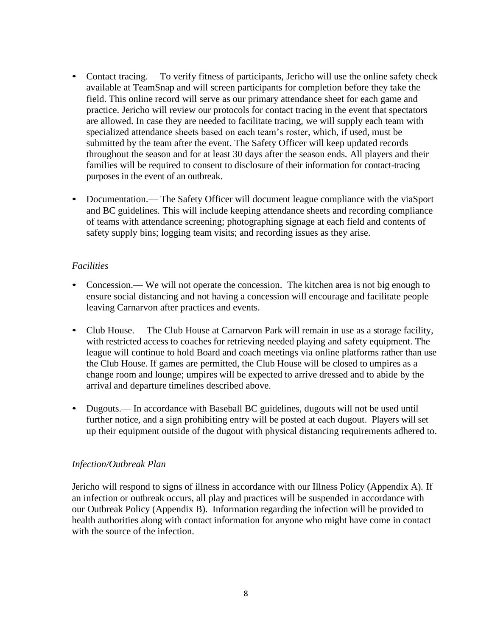- Contact tracing.— To verify fitness of participants, Jericho will use the online safety check available at TeamSnap and will screen participants for completion before they take the field. This online record will serve as our primary attendance sheet for each game and practice. Jericho will review our protocols for contact tracing in the event that spectators are allowed. In case they are needed to facilitate tracing, we will supply each team with specialized attendance sheets based on each team's roster, which, if used, must be submitted by the team after the event. The Safety Officer will keep updated records throughout the season and for at least 30 days after the season ends. All players and their families will be required to consent to disclosure of their information for contact-tracing purposes in the event of an outbreak.
- Documentation.— The Safety Officer will document league compliance with the viaSport and BC guidelines. This will include keeping attendance sheets and recording compliance of teams with attendance screening; photographing signage at each field and contents of safety supply bins; logging team visits; and recording issues as they arise.

# *Facilities*

- Concession.— We will not operate the concession. The kitchen area is not big enough to ensure social distancing and not having a concession will encourage and facilitate people leaving Carnarvon after practices and events.
- Club House.— The Club House at Carnarvon Park will remain in use as a storage facility, with restricted access to coaches for retrieving needed playing and safety equipment. The league will continue to hold Board and coach meetings via online platforms rather than use the Club House. If games are permitted, the Club House will be closed to umpires as a change room and lounge; umpires will be expected to arrive dressed and to abide by the arrival and departure timelines described above.
- Dugouts.— In accordance with Baseball BC guidelines, dugouts will not be used until further notice, and a sign prohibiting entry will be posted at each dugout. Players will set up their equipment outside of the dugout with physical distancing requirements adhered to.

#### *Infection/Outbreak Plan*

Jericho will respond to signs of illness in accordance with our Illness Policy (Appendix A). If an infection or outbreak occurs, all play and practices will be suspended in accordance with our Outbreak Policy (Appendix B). Information regarding the infection will be provided to health authorities along with contact information for anyone who might have come in contact with the source of the infection.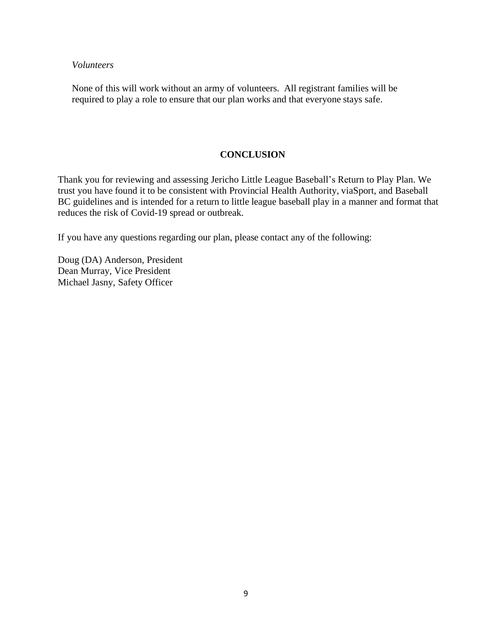#### *Volunteers*

None of this will work without an army of volunteers. All registrant families will be required to play a role to ensure that our plan works and that everyone stays safe.

### **CONCLUSION**

Thank you for reviewing and assessing Jericho Little League Baseball's Return to Play Plan. We trust you have found it to be consistent with Provincial Health Authority, viaSport, and Baseball BC guidelines and is intended for a return to little league baseball play in a manner and format that reduces the risk of Covid-19 spread or outbreak.

If you have any questions regarding our plan, please contact any of the following:

Doug (DA) Anderson, President Dean Murray, Vice President Michael Jasny, Safety Officer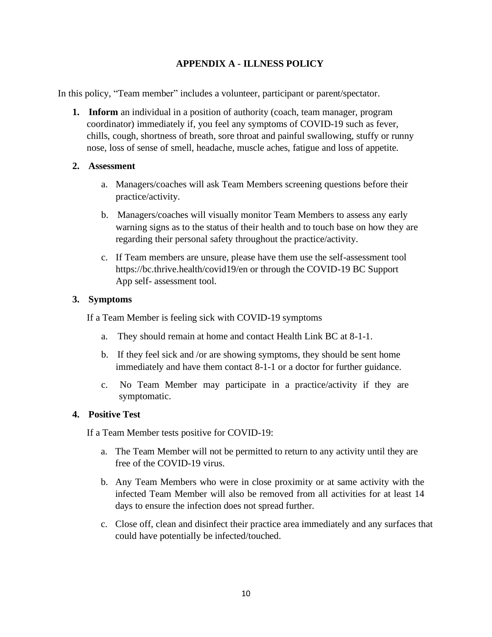# **APPENDIX A - ILLNESS POLICY**

In this policy, "Team member" includes a volunteer, participant or parent/spectator.

**1. Inform** an individual in a position of authority (coach, team manager, program coordinator) immediately if, you feel any symptoms of COVID-19 such as fever, chills, cough, shortness of breath, sore throat and painful swallowing, stuffy or runny nose, loss of sense of smell, headache, muscle aches, fatigue and loss of appetite.

# **2. Assessment**

- a. Managers/coaches will ask Team Members screening questions before their practice/activity.
- b. Managers/coaches will visually monitor Team Members to assess any early warning signs as to the status of their health and to touch base on how they are regarding their personal safety throughout the practice/activity.
- c. If Team members are unsure, please have them use the self-assessment tool https://bc.thrive.health/covid19/en or through the COVID-19 BC Support App self- assessment tool.

# **3. Symptoms**

If a Team Member is feeling sick with COVID-19 symptoms

- a. They should remain at home and contact Health Link BC at 8-1-1.
- b. If they feel sick and /or are showing symptoms, they should be sent home immediately and have them contact 8-1-1 or a doctor for further guidance.
- c. No Team Member may participate in a practice/activity if they are symptomatic.

# **4. Positive Test**

If a Team Member tests positive for COVID-19:

- a. The Team Member will not be permitted to return to any activity until they are free of the COVID-19 virus.
- b. Any Team Members who were in close proximity or at same activity with the infected Team Member will also be removed from all activities for at least 14 days to ensure the infection does not spread further.
- c. Close off, clean and disinfect their practice area immediately and any surfaces that could have potentially be infected/touched.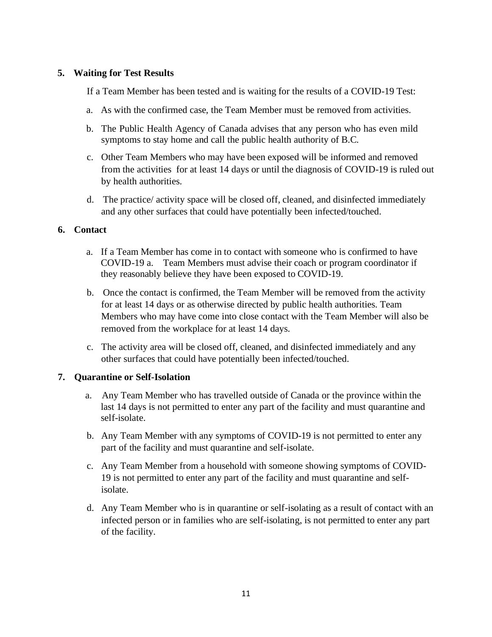# **5. Waiting for Test Results**

If a Team Member has been tested and is waiting for the results of a COVID-19 Test:

- a. As with the confirmed case, the Team Member must be removed from activities.
- b. The Public Health Agency of Canada advises that any person who has even mild symptoms to stay home and call the public health authority of B.C.
- c. Other Team Members who may have been exposed will be informed and removed from the activities for at least 14 days or until the diagnosis of COVID-19 is ruled out by health authorities.
- d. The practice/ activity space will be closed off, cleaned, and disinfected immediately and any other surfaces that could have potentially been infected/touched.

# **6. Contact**

- a. If a Team Member has come in to contact with someone who is confirmed to have COVID-19 a. Team Members must advise their coach or program coordinator if they reasonably believe they have been exposed to COVID-19.
- b. Once the contact is confirmed, the Team Member will be removed from the activity for at least 14 days or as otherwise directed by public health authorities. Team Members who may have come into close contact with the Team Member will also be removed from the workplace for at least 14 days.
- c. The activity area will be closed off, cleaned, and disinfected immediately and any other surfaces that could have potentially been infected/touched.

# **7. Quarantine or Self-Isolation**

- a. Any Team Member who has travelled outside of Canada or the province within the last 14 days is not permitted to enter any part of the facility and must quarantine and self-isolate.
- b. Any Team Member with any symptoms of COVID-19 is not permitted to enter any part of the facility and must quarantine and self-isolate.
- c. Any Team Member from a household with someone showing symptoms of COVID-19 is not permitted to enter any part of the facility and must quarantine and selfisolate.
- d. Any Team Member who is in quarantine or self-isolating as a result of contact with an infected person or in families who are self-isolating, is not permitted to enter any part of the facility.